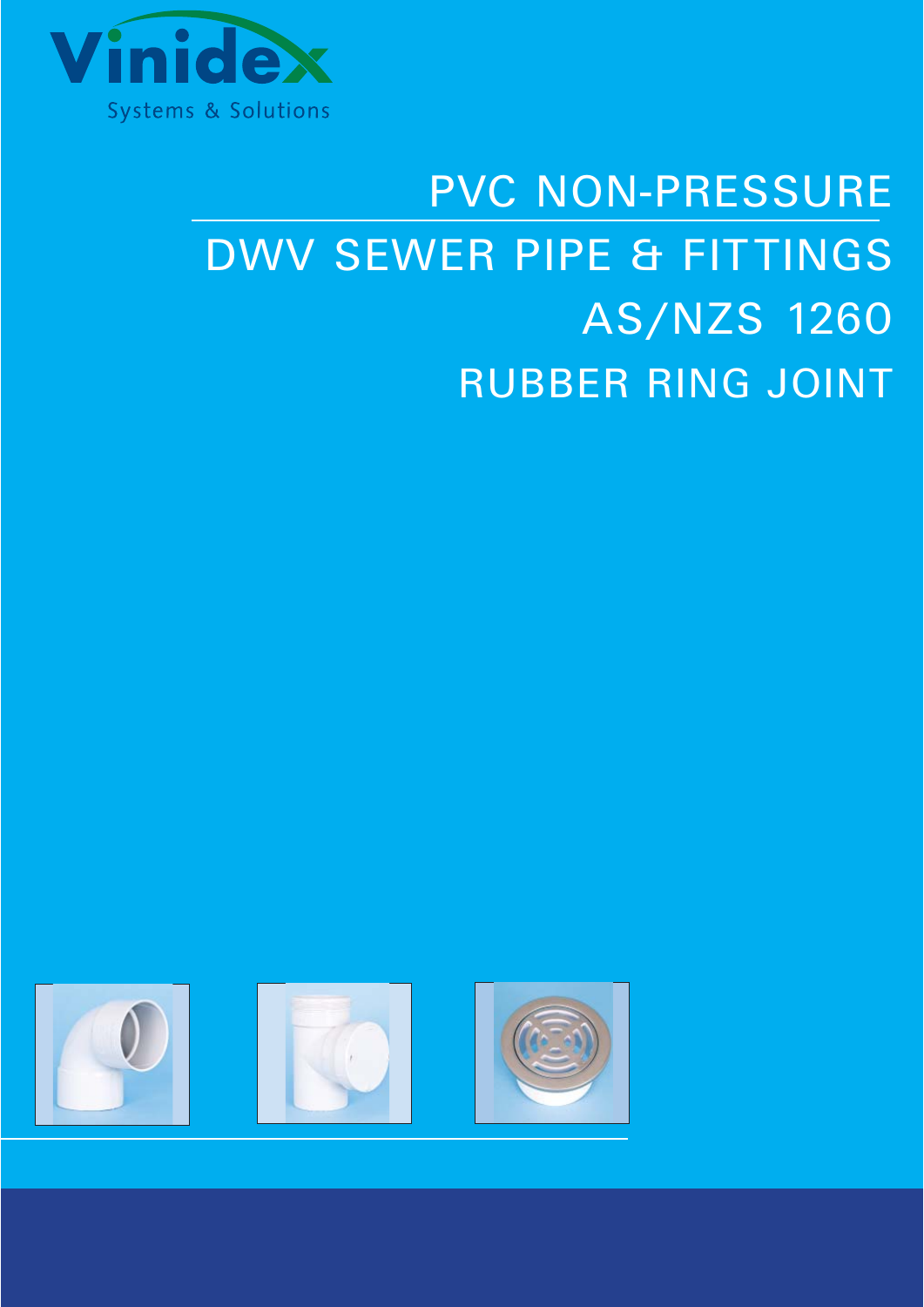

# PVC NON-PRESSURE DWV SEWER PIPE & FITTINGS AS/NZS 1260 RUBBER RING JOINT

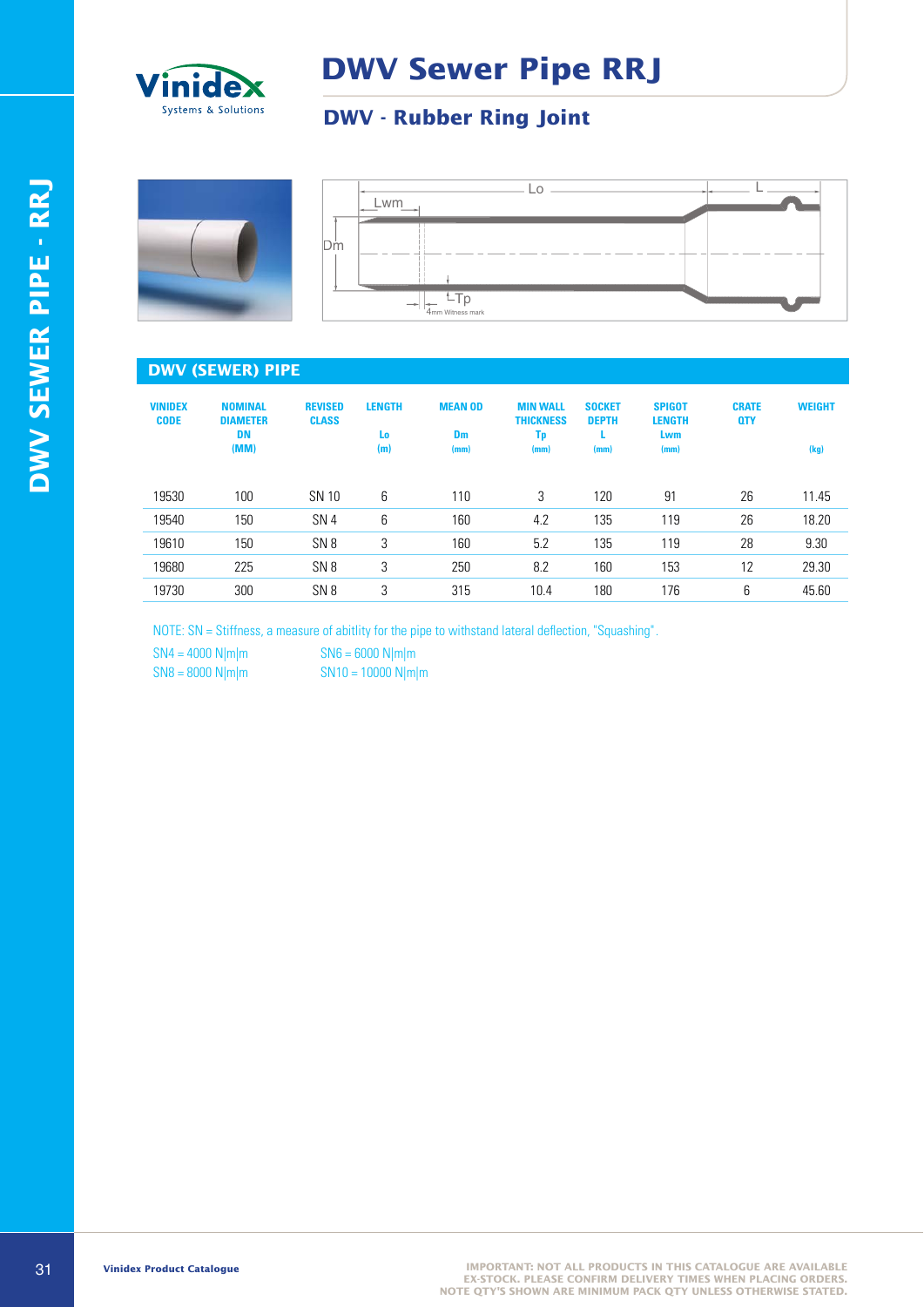

### **DWV Sewer Pipe RRJ**

#### **DWV - Rubber Ring Joint**





#### **DWV (SEWER) PIPE**

| <b>VINIDEX</b><br><b>CODE</b> | <b>NOMINAL</b><br><b>DIAMETER</b><br><b>DN</b><br>(MM) | <b>REVISED</b><br><b>CLASS</b> | <b>LENGTH</b><br>Lo:<br>(m) | <b>MEAN OD</b><br><b>Dm</b><br>(mm) | <b>MIN WALL</b><br><b>THICKNESS</b><br>Tp<br>(mm) | <b>SOCKET</b><br><b>DEPTH</b><br>(mm) | <b>SPIGOT</b><br><b>LENGTH</b><br>Lwm<br>(mm) | <b>CRATE</b><br><b>QTY</b> | <b>WEIGHT</b><br>(kg) |
|-------------------------------|--------------------------------------------------------|--------------------------------|-----------------------------|-------------------------------------|---------------------------------------------------|---------------------------------------|-----------------------------------------------|----------------------------|-----------------------|
| 19530                         | 100                                                    | SN 10                          | 6                           | 110                                 | 3                                                 | 120                                   | 91                                            | 26                         | 11.45                 |
| 19540                         | 150                                                    | SN <sub>4</sub>                | 6                           | 160                                 | 4.2                                               | 135                                   | 119                                           | 26                         | 18.20                 |
| 19610                         | 150                                                    | SN <sub>8</sub>                | 3                           | 160                                 | 5.2                                               | 135                                   | 119                                           | 28                         | 9.30                  |
| 19680                         | 225                                                    | SN <sub>8</sub>                | 3                           | 250                                 | 8.2                                               | 160                                   | 153                                           | 12                         | 29.30                 |
| 19730                         | 300                                                    | SN <sub>8</sub>                | 3                           | 315                                 | 10.4                                              | 180                                   | 176                                           | 6                          | 45.60                 |

NOTE: SN = Stiffness, a measure of abitlity for the pipe to withstand lateral deflection, "Squashing".

 $SN4 = 4000 \text{ N} \mid \text{m} \mid \text{m}$   $SN6 = 6000 \text{ N} \mid \text{m} \mid \text{m}$ 

 $SN8 = 8000 \text{ N}$ |m|m  $SN10 = 10000 \text{ N}$ |m|m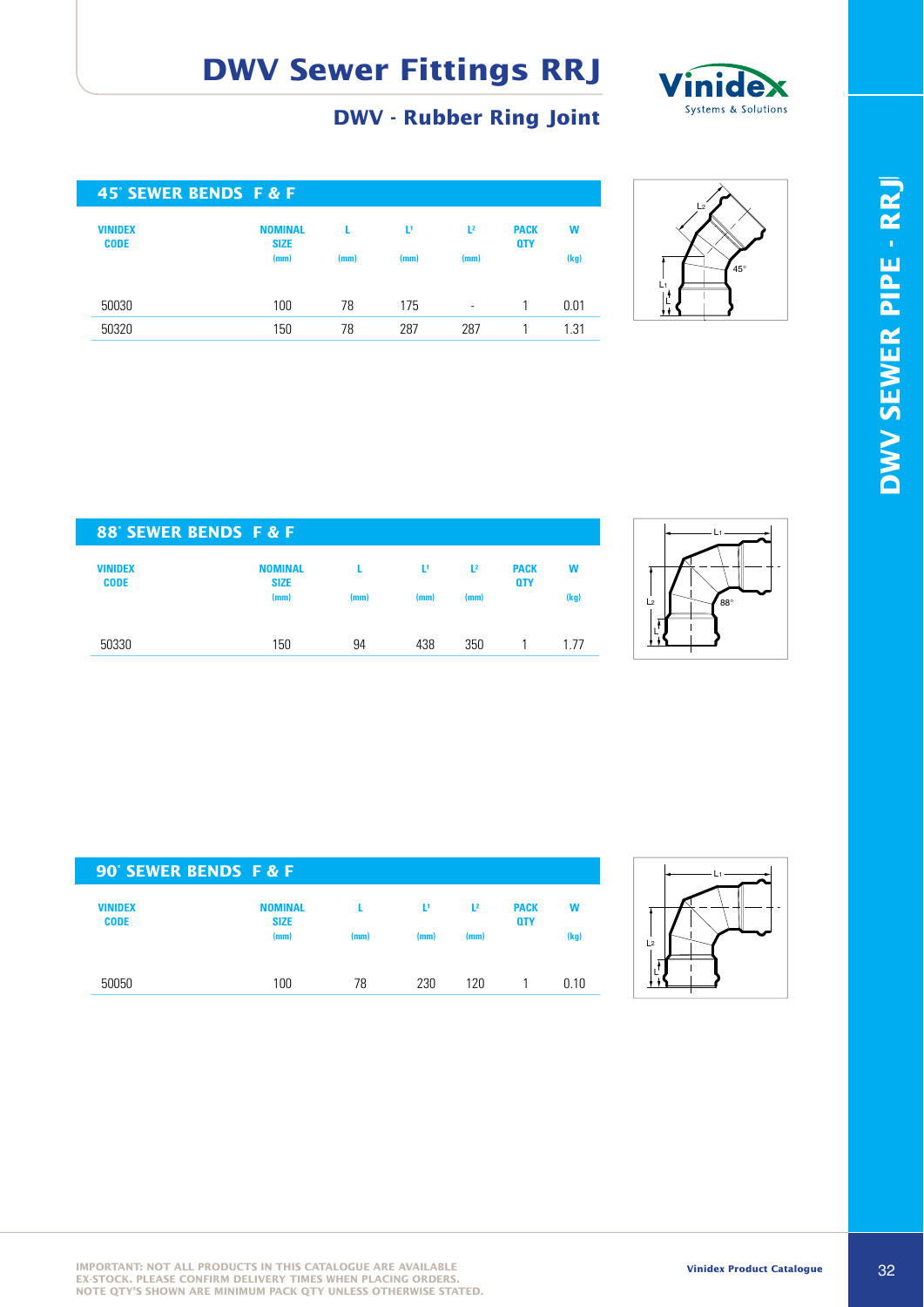

#### **DWV - Rubber Ring Joint**

| 45° SEWER BENDS F & F         |                               |      |      |                          |                           |      |
|-------------------------------|-------------------------------|------|------|--------------------------|---------------------------|------|
| <b>VINIDEX</b><br><b>CODE</b> | <b>NOMINAL</b><br><b>SIZE</b> | L    | Ľ,   | $\mathbf{L}^2$           | <b>PACK</b><br><b>QTY</b> | W    |
|                               | (mm)                          | (mm) | (mm) | (mm)                     |                           | (kg) |
| 50030                         | 100                           | 78   | 175  | $\overline{\phantom{a}}$ |                           | 0.01 |
| 50320                         | 150                           | 78   | 287  | 287                      |                           | 1.31 |



| 88° SEWER BENDS F & F         |                               |      |                |                |                           |      |
|-------------------------------|-------------------------------|------|----------------|----------------|---------------------------|------|
| <b>VINIDEX</b><br><b>CODE</b> | <b>NOMINAL</b><br><b>SIZE</b> |      | $\mathbf{L}^1$ | L <sup>2</sup> | <b>PACK</b><br><b>QTY</b> | W    |
|                               | (mm)                          | (mm) | (mm)           | (mm)           |                           | (kg) |
| 50330                         | 150                           | 94   | 438            | 350            |                           | 177  |



| 90° SEWER BENDS F & F  |                                       |      |           |                        |                           |           |
|------------------------|---------------------------------------|------|-----------|------------------------|---------------------------|-----------|
| VINIDEX<br><b>CODE</b> | <b>NOMINAL</b><br><b>SIZE</b><br>(mm) | (mm) | Þ<br>(mm) | $\mathbf{L}^2$<br>(mm) | <b>PACK</b><br><b>QTY</b> | W<br>(kg) |
| 50050                  | 100                                   | 78   | 230       | 120                    |                           | 0.10      |

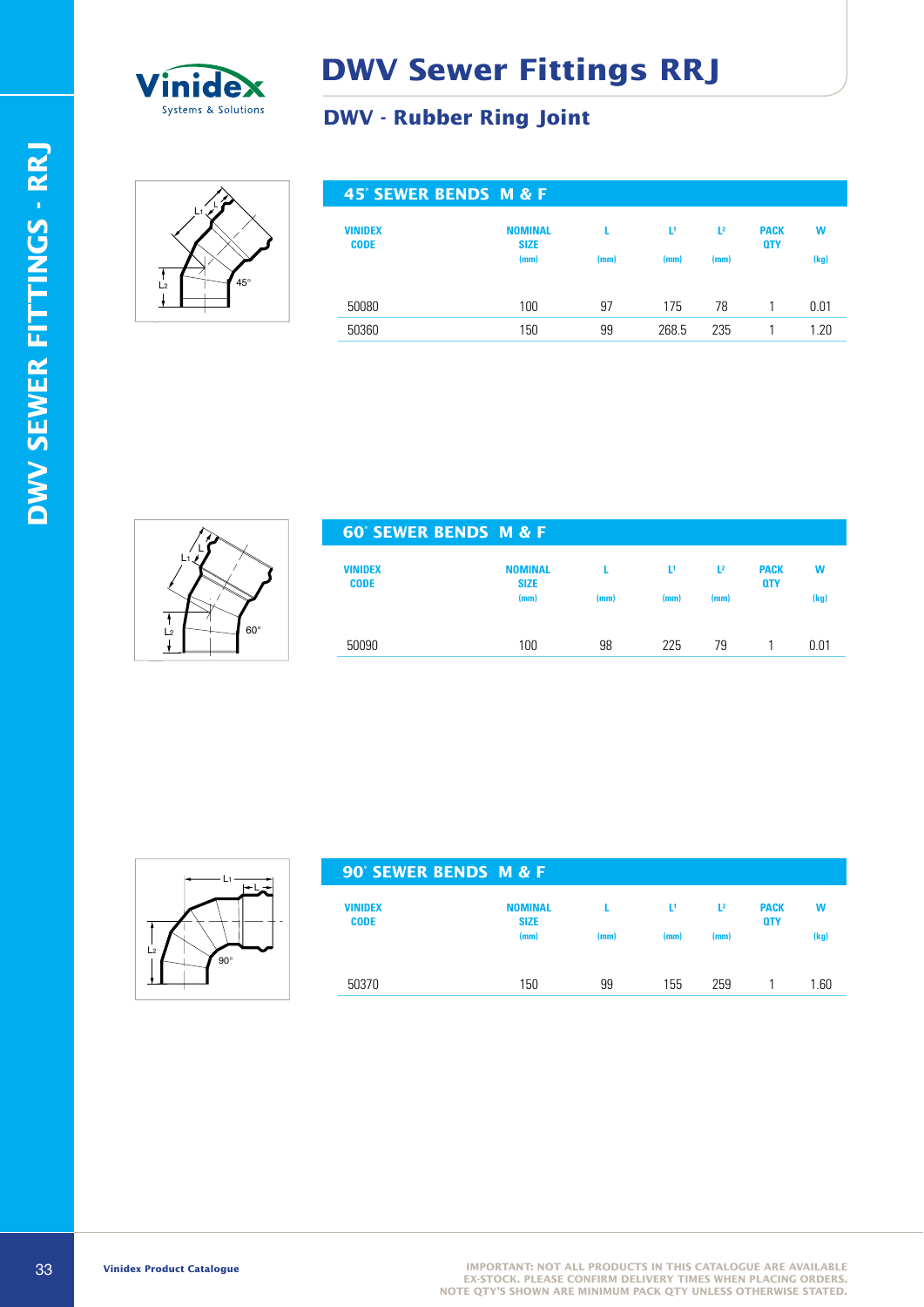

#### **DWV - Rubber Ring Joint**



| 45° SEWER BENDS M & F  |                               |      |       |                |                           |      |
|------------------------|-------------------------------|------|-------|----------------|---------------------------|------|
| VINIDEX<br><b>CODE</b> | <b>NOMINAL</b><br><b>SIZE</b> |      | Ľ۱    | L <sup>2</sup> | <b>PACK</b><br><b>QTY</b> | W    |
|                        | (mm)                          | (mm) | (mm)  | (mm)           |                           | (kg) |
|                        |                               |      |       |                |                           |      |
| 50080                  | 100                           | 97   | 175   | 78             |                           | 0.01 |
| 50360                  | 150                           | 99   | 268.5 | 235            |                           | 1.20 |
|                        |                               |      |       |                |                           |      |



| <b>60° SEWER BENDS M &amp; F</b> |      |      |                |                           |      |
|----------------------------------|------|------|----------------|---------------------------|------|
| <b>NOMINAL</b><br><b>SIZE</b>    |      | υ    | L <sup>2</sup> | <b>PACK</b><br><b>QTY</b> | W    |
| (mm)                             | (mm) | (mm) | (mm)           |                           | (kg) |
| 100                              | 98   | 225  | 79             |                           | 0.01 |
|                                  |      |      |                |                           |      |



| 90° SEWER BENDS M & F         |                               |      |      |                |                           |      |
|-------------------------------|-------------------------------|------|------|----------------|---------------------------|------|
| <b>VINIDEX</b><br><b>CODE</b> | <b>NOMINAL</b><br><b>SIZE</b> |      | L1   | $\mathbf{L}^2$ | <b>PACK</b><br><b>QTY</b> | w    |
|                               | (mm)                          | (mm) | (mm) | (mm)           |                           | (kg) |
|                               |                               |      |      |                |                           |      |
| 50370                         | 150                           | 99   | 155  | 259            |                           | 1.60 |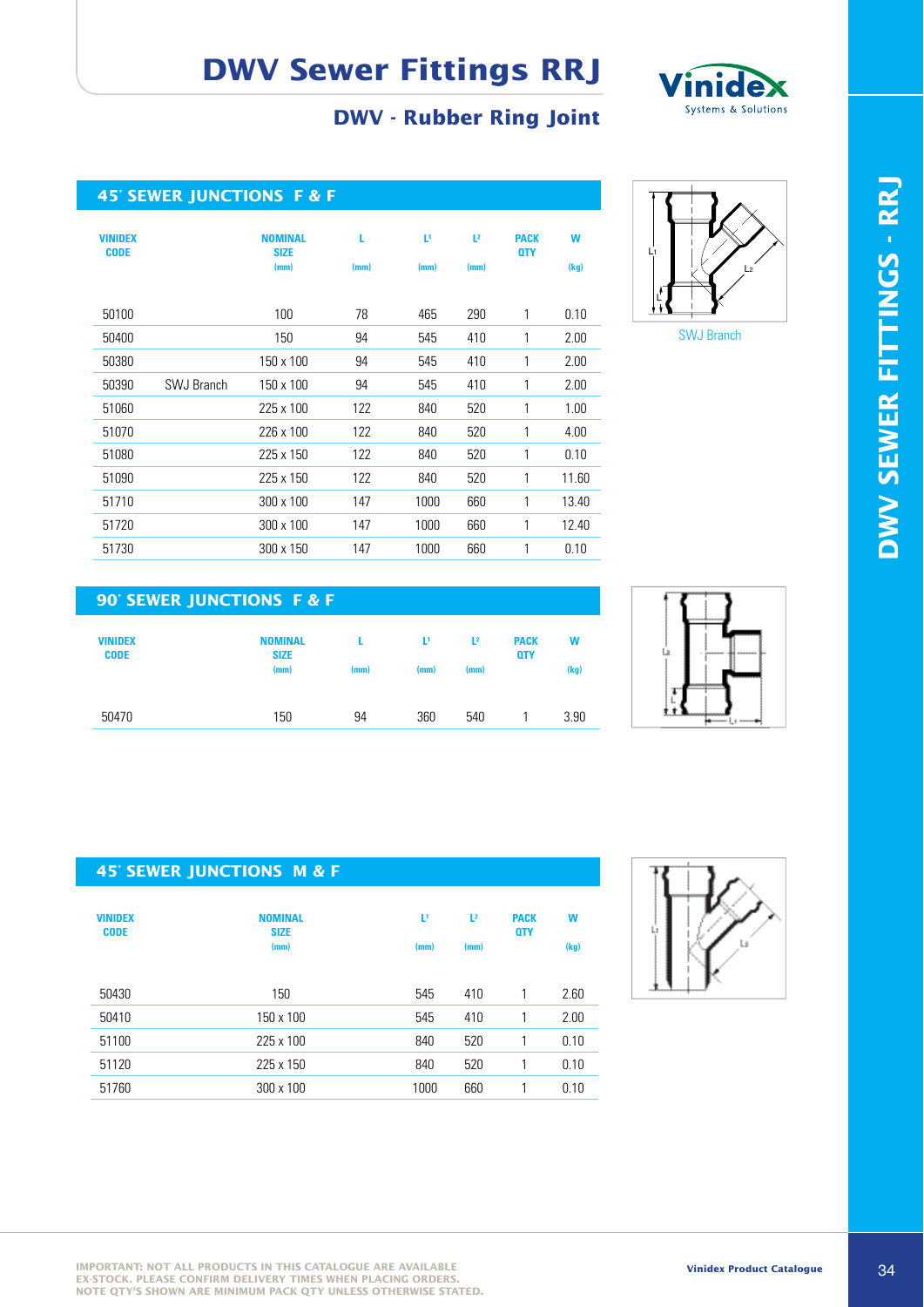#### **DWV - Rubber Ring Joint**



|                               | <b>45° SEWER JUNCTIONS F &amp; F</b> |                                       |           |           |                        |                           |           |
|-------------------------------|--------------------------------------|---------------------------------------|-----------|-----------|------------------------|---------------------------|-----------|
| <b>VINIDEX</b><br><b>CODE</b> |                                      | <b>NOMINAL</b><br><b>SIZE</b><br>(mm) | L<br>(mm) | Þ<br>(mm) | L <sup>2</sup><br>(mm) | <b>PACK</b><br><b>QTY</b> | W<br>(kg) |
| 50100                         |                                      | 100                                   | 78        | 465       | 290                    | 1                         | 0.10      |
| 50400                         |                                      | 150                                   | 94        | 545       | 410                    | 1                         | 2.00      |
| 50380                         |                                      | 150 x 100                             | 94        | 545       | 410                    | 1                         | 2.00      |
| 50390                         | <b>SWJ Branch</b>                    | 150 x 100                             | 94        | 545       | 410                    | 1                         | 2.00      |
| 51060                         |                                      | 225 x 100                             | 122       | 840       | 520                    | 1                         | 1.00      |
| 51070                         |                                      | 226 x 100                             | 122       | 840       | 520                    | 1                         | 4.00      |
| 51080                         |                                      | 225 x 150                             | 122       | 840       | 520                    | 1                         | 0.10      |
| 51090                         |                                      | 225 x 150                             | 122       | 840       | 520                    | 1                         | 11.60     |
| 51710                         |                                      | 300 x 100                             | 147       | 1000      | 660                    | 1                         | 13.40     |
| 51720                         |                                      | 300 x 100                             | 147       | 1000      | 660                    | 1                         | 12.40     |
| 51730                         |                                      | 300 x 150                             | 147       | 1000      | 660                    | 1                         | 0.10      |



#### **90° SEWER JUNCTIONS F & F**

| <b>VINIDEX</b><br><b>CODE</b> | <b>NOMINAL</b><br><b>SIZE</b><br>(mm) | (mm) | Ţ,<br>(mm) | $L^2$<br>(mm) | <b>PACK</b><br><b>QTY</b> | W<br>(kg) |
|-------------------------------|---------------------------------------|------|------------|---------------|---------------------------|-----------|
| 50470                         | 150                                   | 94   | 360        | 540           |                           | 3.90      |



#### **45° SEWER JUNCTIONS M & F**

| <b>VINIDEX</b><br><b>CODE</b> | <b>NOMINAL</b><br><b>SIZE</b><br>(mm) | Þ<br>(mm) | L <sup>2</sup><br>(mm) | <b>PACK</b><br><b>QTY</b> | W<br>(kg) |
|-------------------------------|---------------------------------------|-----------|------------------------|---------------------------|-----------|
| 50430                         | 150                                   | 545       | 410                    | 1                         | 2.60      |
| 50410                         | 150 x 100                             | 545       | 410                    |                           | 2.00      |
| 51100                         | 225 x 100                             | 840       | 520                    |                           | 0.10      |
| 51120                         | 225 x 150                             | 840       | 520                    | 1                         | 0.10      |
| 51760                         | 300 x 100                             | 1000      | 660                    |                           | 0.10      |



**IMPORTANT: NOT ALL PRODUCTS IN THIS CATALOGUE ARE AVAILABLE EX-STOCK. PLEASE CONFIRM DELIVERY TIMES WHEN PLACING ORDERS. NOTE QTY'S SHOWN ARE MINIMUM PACK QTY UNLESS OTHERWISE STATED.**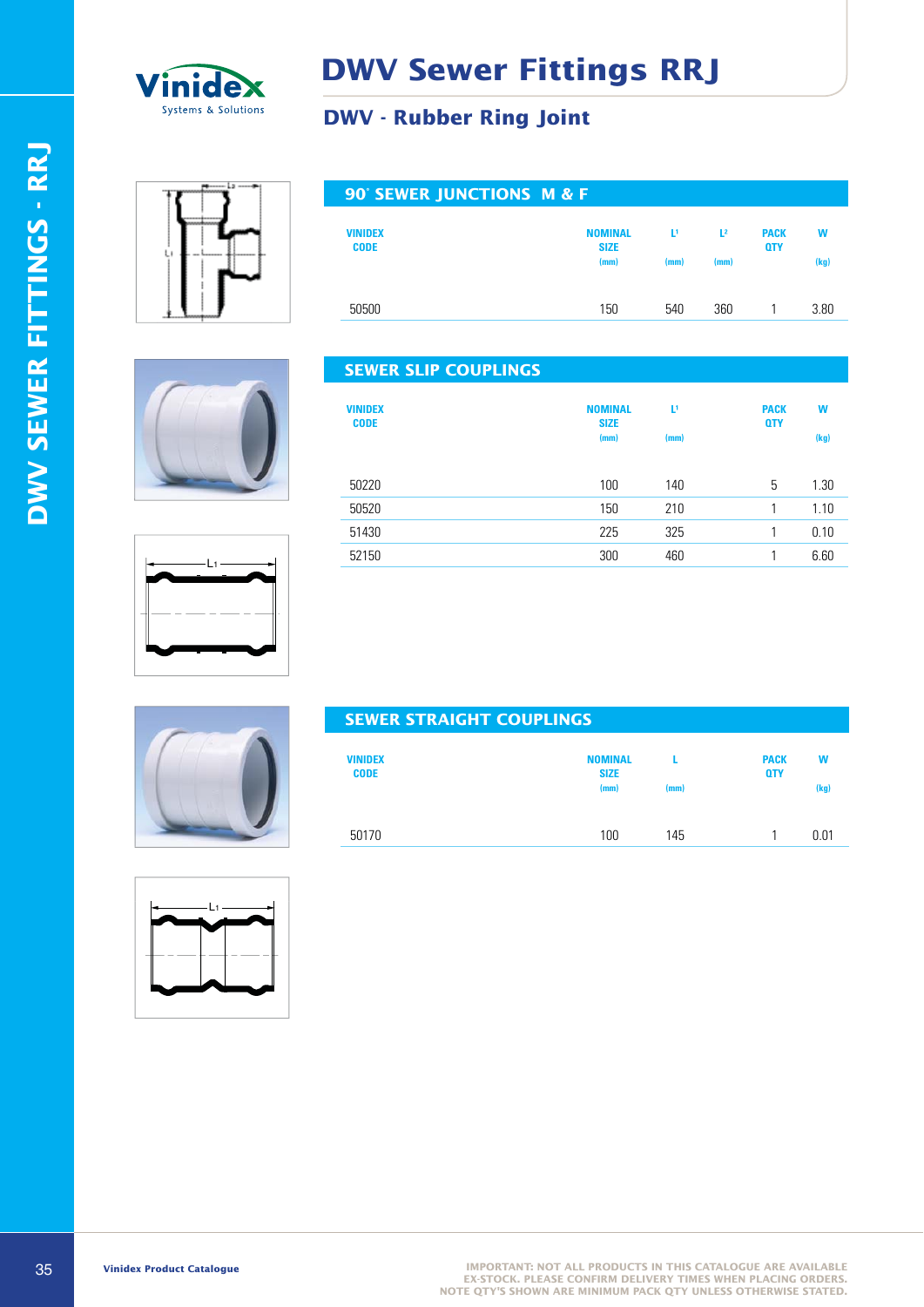

#### **DWV - Rubber Ring Joint**

**DWV SEWER FITTINGS - RRJ**

DWV SEWER FITTINGS - RRJ



| 90° SEWER JUNCTIONS M & F     |                               |      |                |                           |      |
|-------------------------------|-------------------------------|------|----------------|---------------------------|------|
| <b>VINIDEX</b><br><b>CODE</b> | <b>NOMINAL</b><br><b>SIZE</b> | υ    | $\mathbf{L}^2$ | <b>PACK</b><br><b>QTY</b> | W    |
|                               | (mm)                          | (mm) | (mm)           |                           | (kg) |
| 50500                         | 150                           | 540  | 360            |                           | 3.80 |





| <b>SEWER SLIP COUPLINGS</b>   |                                       |           |                           |           |
|-------------------------------|---------------------------------------|-----------|---------------------------|-----------|
| <b>VINIDEX</b><br><b>CODE</b> | <b>NOMINAL</b><br><b>SIZE</b><br>(mm) | D<br>(mm) | <b>PACK</b><br><b>QTY</b> | w<br>(kg) |
| 50220                         | 100                                   | 140       | 5                         | 1.30      |
| 50520                         | 150                                   | 210       | 1                         | 1.10      |
| 51430                         | 225                                   | 325       |                           | 0.10      |
| 52150                         | 300                                   | 460       |                           | 6.60      |
|                               |                                       |           |                           |           |



| <b>SEWER STRAIGHT COUFLINGS</b> |                               |      |                           |      |
|---------------------------------|-------------------------------|------|---------------------------|------|
| <b>VINIDEX</b><br><b>CODE</b>   | <b>NOMINAL</b><br><b>SIZE</b> |      | <b>PACK</b><br><b>QTY</b> | W    |
|                                 | (mm)                          | (mm) |                           | (kg) |
| 50170                           | 100                           | 145  |                           | 0.01 |

SEMBLE INC.



35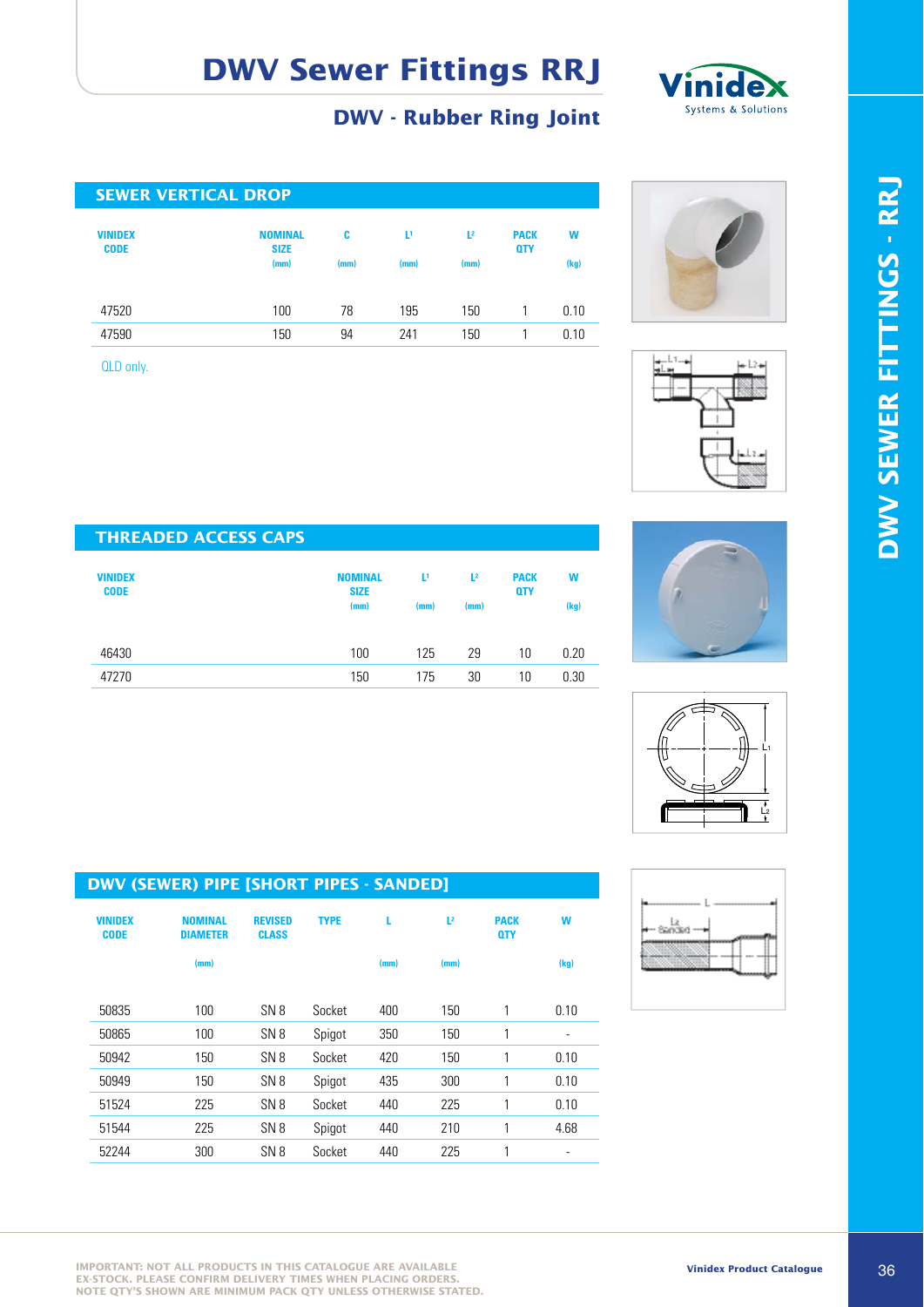![](_page_6_Picture_1.jpeg)

#### **DWV - Rubber Ring Joint**

| <b>SEWER VERTICAL DROP</b>    |                               |      |      |                |                           |      |  |  |
|-------------------------------|-------------------------------|------|------|----------------|---------------------------|------|--|--|
| <b>VINIDEX</b><br><b>CODE</b> | <b>NOMINAL</b><br><b>SIZE</b> | c    | Ľ,   | L <sup>2</sup> | <b>PACK</b><br><b>QTY</b> | W    |  |  |
|                               | (mm)                          | (mm) | (mm) | (mm)           |                           | (kg) |  |  |
|                               |                               |      |      |                |                           |      |  |  |
| 47520                         | 100                           | 78   | 195  | 150            |                           | 0.10 |  |  |
| 47590                         | 150                           | 94   | 241  | 150            |                           | 0.10 |  |  |

QLD only.

![](_page_6_Picture_5.jpeg)

![](_page_6_Figure_6.jpeg)

![](_page_6_Picture_7.jpeg)

![](_page_6_Figure_8.jpeg)

![](_page_6_Figure_9.jpeg)

| <b>THREADED ACCESS CAPS</b>   |                               |      |                |                           |      |
|-------------------------------|-------------------------------|------|----------------|---------------------------|------|
| <b>VINIDEX</b><br><b>CODE</b> | <b>NOMINAL</b><br><b>SIZE</b> | Ľ,   | L <sup>2</sup> | <b>PACK</b><br><b>QTY</b> | W    |
|                               | (mm)                          | (mm) | (mm)           |                           | (kg) |
| 46430                         | 100                           | 125  | 29             | 10                        | 0.20 |
| 47270                         | 150                           | 175  | 30             | 10                        | 0.30 |

| <b>VINIDEX</b><br><b>CODE</b> | <b>NOMINAL</b><br><b>DIAMETER</b> | <b>REVISED</b><br><b>CLASS</b> | <b>TYPE</b> | L    | L <sup>2</sup> | <b>PACK</b><br><b>QTY</b> | W                        |
|-------------------------------|-----------------------------------|--------------------------------|-------------|------|----------------|---------------------------|--------------------------|
|                               | (mm)                              |                                |             | (mm) | (mm)           |                           | (kg)                     |
| 50835                         | 100                               | SN <sub>8</sub>                | Socket      | 400  | 150            | 1                         | 0.10                     |
| 50865                         | 100                               | SN <sub>8</sub>                | Spigot      | 350  | 150            | 1                         | $\overline{\phantom{a}}$ |
| 50942                         | 150                               | SN <sub>8</sub>                | Socket      | 420  | 150            | 1                         | 0.10                     |
| 50949                         | 150                               | SN <sub>8</sub>                | Spigot      | 435  | 300            | 1                         | 0.10                     |
| 51524                         | 225                               | SN <sub>8</sub>                | Socket      | 440  | 225            | 1                         | 0.10                     |
| 51544                         | 225                               | SN <sub>8</sub>                | Spigot      | 440  | 210            | 1                         | 4.68                     |
|                               |                                   |                                |             |      |                |                           |                          |

52244 300 SN 8 Socket 440 225 1 -

![](_page_6_Picture_12.jpeg)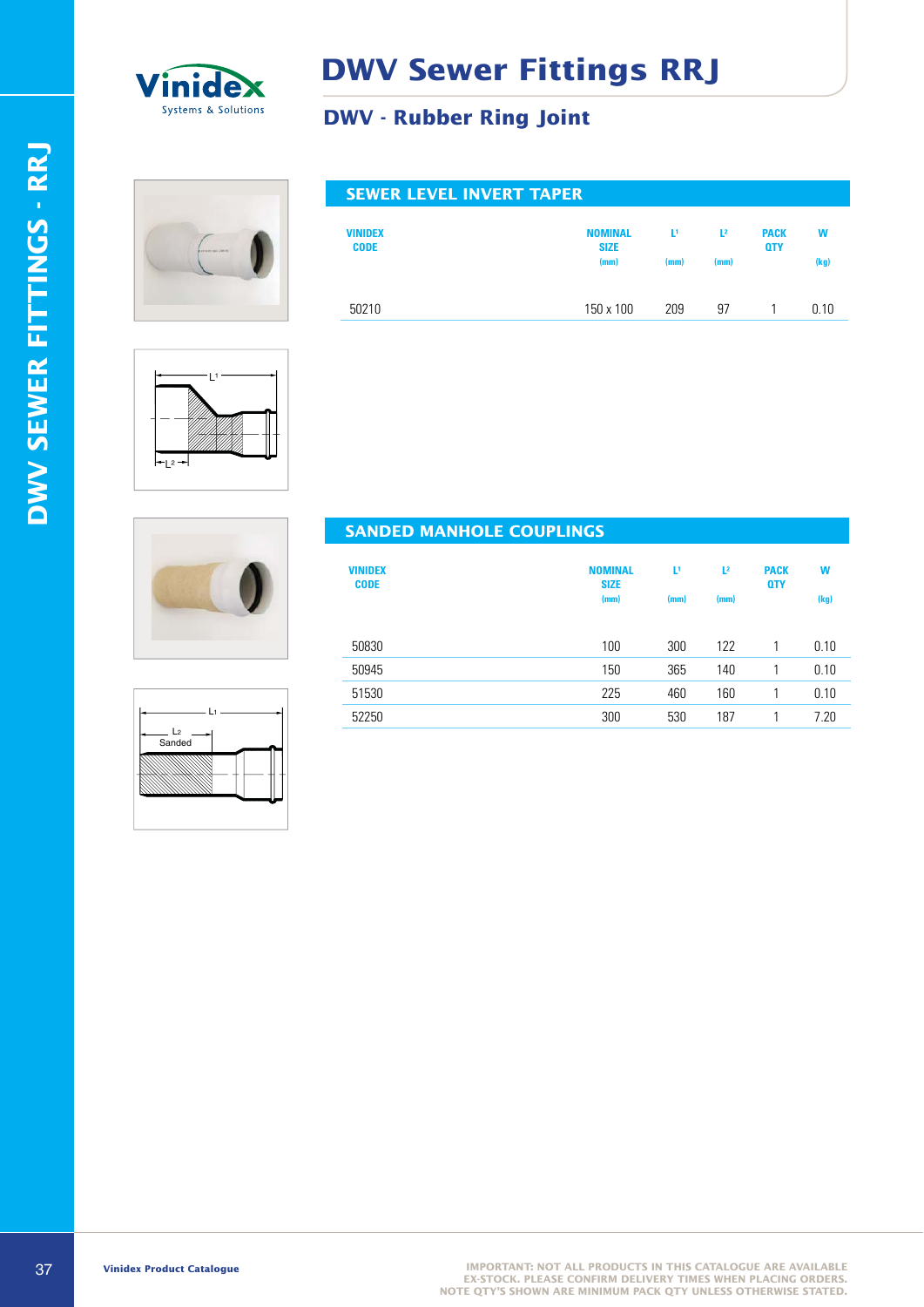![](_page_7_Picture_0.jpeg)

#### **DWV - Rubber Ring Joint**

#### **SEWER LEVEL INVERT TAPER**

| <b>VINIDEX</b><br><b>CODE</b> | <b>NOMINAL</b><br><b>SIZE</b> | L1.  | $L^2$ | <b>PACK</b><br><b>QTY</b> | W    |
|-------------------------------|-------------------------------|------|-------|---------------------------|------|
|                               | (mm)                          | (mm) | (mm)  |                           | (kg) |
|                               |                               |      |       |                           |      |
| 50210                         | 150 x 100                     | 209  | 97    |                           | 0.10 |

![](_page_7_Figure_6.jpeg)

![](_page_7_Picture_7.jpeg)

| $\sim$                     | п |
|----------------------------|---|
| - L <sub>2</sub><br>Sanded |   |
|                            |   |
|                            |   |

#### **SANDED MANHOLE COUPLINGS**

| <b>VINIDEX</b><br><b>CODE</b> | <b>NOMINAL</b><br><b>SIZE</b><br>(mm) | υ<br>(mm) | L <sup>2</sup><br>(mm) | <b>PACK</b><br><b>QTY</b> | W<br>(kg) |
|-------------------------------|---------------------------------------|-----------|------------------------|---------------------------|-----------|
| 50830                         | 100                                   | 300       | 122                    |                           | 0.10      |
| 50945                         | 150                                   | 365       | 140                    |                           | 0.10      |
| 51530                         | 225                                   | 460       | 160                    |                           | 0.10      |
| 52250                         | 300                                   | 530       | 187                    |                           | 7.20      |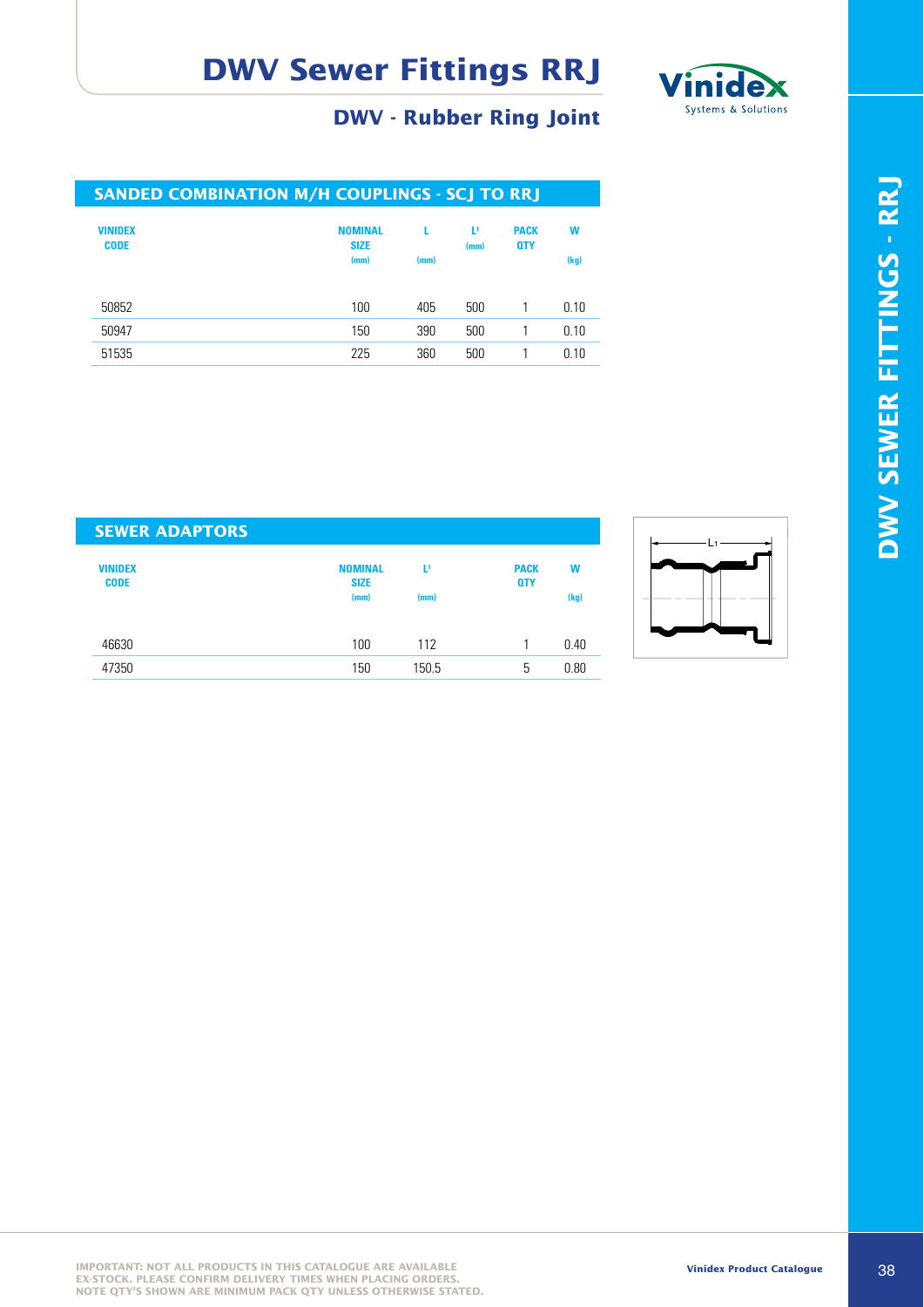![](_page_8_Picture_1.jpeg)

#### **DWV - Rubber Ring Joint**

| <b>SANDED COMBINATION M/H COUPLINGS - SCJ TO RRJ</b> |                                       |      |                        |                           |           |
|------------------------------------------------------|---------------------------------------|------|------------------------|---------------------------|-----------|
| <b>VINIDEX</b><br><b>CODE</b>                        | <b>NOMINAL</b><br><b>SIZE</b><br>(mm) | (mm) | $\mathbf{L}^1$<br>(mm) | <b>PACK</b><br><b>OTY</b> | W<br>(kg) |
| 50852                                                | 100                                   | 405  | 500                    |                           | 0.10      |
| 50947                                                | 150                                   | 390  | 500                    |                           | 0.10      |
| 51535                                                | 225                                   | 360  | 500                    |                           | 0.10      |
|                                                      |                                       |      |                        |                           |           |

| <b>SEWER ADAPTORS</b>         |                               |       |                           |      |
|-------------------------------|-------------------------------|-------|---------------------------|------|
| <b>VINIDEX</b><br><b>CODE</b> | <b>NOMINAL</b><br><b>SIZE</b> | Ľ۱    | <b>PACK</b><br><b>QTY</b> | W    |
|                               | (mm)                          | (mm)  |                           | (kg) |
| 46630                         | 100                           | 112   |                           | 0.40 |
| 47350                         | 150                           | 150.5 | 5                         | 0.80 |

![](_page_8_Figure_5.jpeg)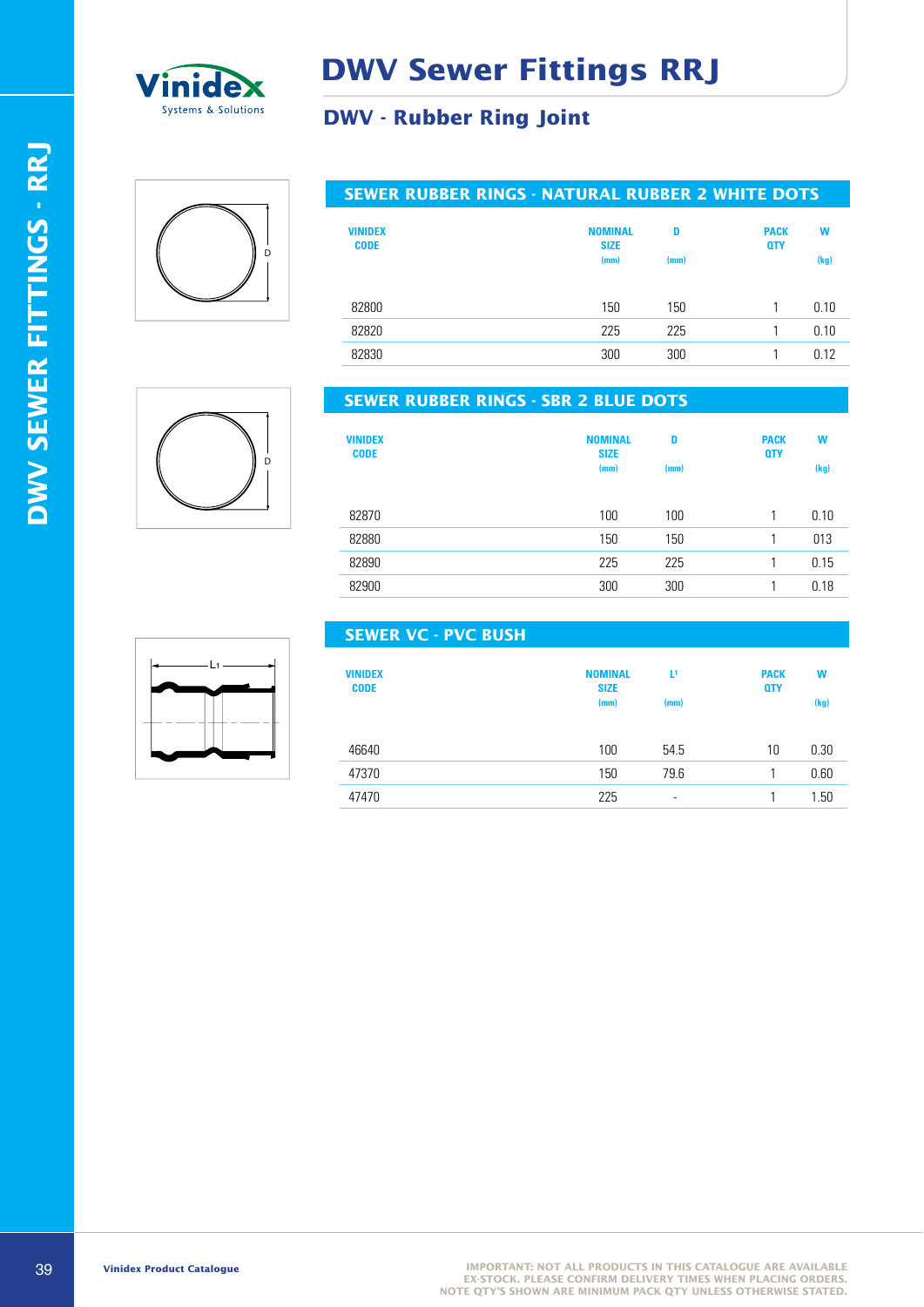![](_page_9_Picture_0.jpeg)

#### **DWV - Rubber Ring Joint**

# $\overline{D}$

#### **SEWER RUBBER RINGS - NATURAL RUBBER 2 WHITE DOTS**

| <b>VINIDEX</b><br><b>CODE</b> | <b>NOMINAL</b><br><b>SIZE</b><br>(mm) | D<br>(mm) | <b>PACK</b><br><b>QTY</b> | W<br>(kg) |
|-------------------------------|---------------------------------------|-----------|---------------------------|-----------|
| 82800                         | 150                                   | 150       |                           | 0.10      |
| 82820                         | 225                                   | 225       |                           | 0.10      |
| 82830                         | 300                                   | 300       |                           | 0.12      |

![](_page_9_Picture_6.jpeg)

#### **SEWER RUBBER RINGS - SBR 2 BLUE DOTS**

**SEWER VC - PVC BUSH**

| <b>VINIDEX</b><br><b>CODE</b> | <b>NOMINAL</b><br><b>SIZE</b><br>(mm) | D<br>(mm) | <b>PACK</b><br><b>QTY</b> | W<br>(kg) |
|-------------------------------|---------------------------------------|-----------|---------------------------|-----------|
| 82870                         | 100                                   | 100       |                           | 0.10      |
| 82880                         | 150                                   | 150       |                           | 013       |
| 82890                         | 225                                   | 225       |                           | 0.15      |
| 82900                         | 300                                   | 300       |                           | 0.18      |

# $\mathbf{L}$

| <b>VINIDEX</b><br><b>CODE</b> | <b>NOMINAL</b><br><b>SIZE</b><br>(mm) | Þ<br>(mm) | <b>PACK</b><br><b>QTY</b> | W<br>(kg) |
|-------------------------------|---------------------------------------|-----------|---------------------------|-----------|
| 46640                         | 100                                   | 54.5      | 10                        | 0.30      |
| 47370                         | 150                                   | 79.6      |                           | 0.60      |
| 47470                         | 225                                   | -         |                           | 1.50      |

# DWV SEWER FITTINGS - RRJ **DWV SEWER FITTINGS - RRJ**